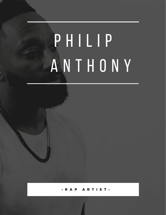# P H I L I P A N T H O N Y

RAP ARTIST.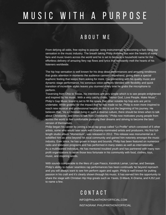## M U S I C W I T H A P U R P O S E

#### A B O U T M E

From defying all odds, free styling to popular song instrumentals to becoming a fast rising rap sensation in the music industry. The breath taking Philip Anthony has won the hearts of many fans and music lovers across the world and he is set to become a household name for the effortless delivery of amazing fiery rap flows and lyrics that constantly melt the hearts of his listeners worldwide.

The hip hop sensation is well known for his drop dead performances and amazing renditions that grabs attention in moments the audience cannot comprehend, giving them a special euphoric feeling that keeps them asking for more. Complimenting with his quality music and dynamic stage performance, his sonorous voice perfectly blended with flexibility and quick transition of incredible styles leaves you stunned every time he grabs the microphone to perform.

Traversing from Ohio to Texas, his intentions are very simple which is to see people enlightened and inspired by his music. With a very catchy motto, "Honor God, Love People, Make Music", Philip's Gap Music brand is set to fill the space that other notable hip hop acts are yet to undertake. While grateful for the impact that he has made so far, Philip is even more inspired to reach new musical and professional heights as this is just the beginning of his journey. He believes that, "As a Christian living in such a diverse culture, there should be times when to talk about Christianity, and times to talk from Christianity." Philip now motivates young people from across the world to feel comfortable pursuing their dreams and striving to become the best version of themselves.

Philip began his career by joining a local rap group called "Lo Profile" which consisted of 5 other artists, some who would later work with Grammy-nominated artists and producers. His first fulllength studio album "Momentum", was released in 2012. This release was monumental as it solidified him as artist beyond his local community and gained him notoriety amongst the music industry. Ever since, he has grown in leaps and bounds. Philip has been featured on numerous radio and television programs and has performed in many states as well as internationally. As a multifaceted individual, He has mentored troubled youth and has partnered with many nonprofit organizations to serve those less fortunate in his community with food, clothes, toys, music, and inspiring words.

With sounds comparable to the likes of Lupe Fiasco, Kendrick Lamar, Lecrae, and Swoope. Philip's ability to deliver seamless rap performances has been continually far beyond reproach and you will always want to see him perform again and again. Philip is well known for putting passion in his craft and it's clearly shown through his music. It has earned him the opportunity to share the stage with Christian Hip Hop greats such as Yaves, D-Maub, K-Drama, and KJ52 just to name a few.

#### C O N T A C T

INFO@PHILANTHONYOFFICIAL.COM

INSTAGRAM: PHILIPANTHONYOFFICIAL